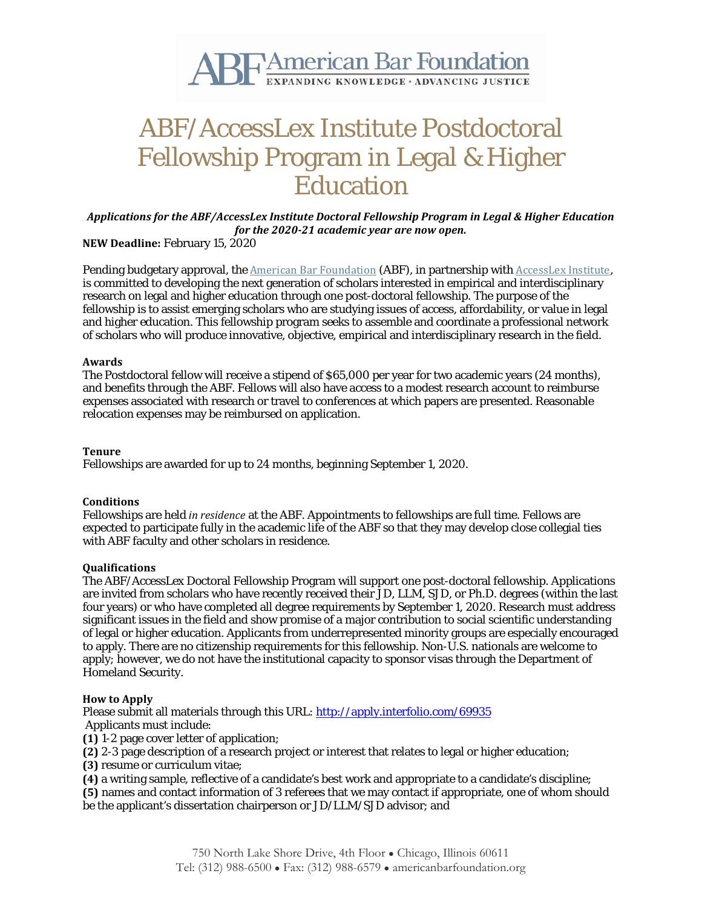

# ABF/AccessLex Institute Postdoctoral Fellowship Program in Legal & Higher Education

*Applications for the ABF/AccessLex Institute Doctoral Fellowship Program in Legal & Higher Education for the 2020-21 academic year are now open.*

**NEW Deadline:** February 15, 2020

Pending budgetary approval, the American Bar [Foundation](http://www.americanbarfoundation.org/about/index.html) (ABF), in partnership with [AccessLex](https://www.accesslex.org/) Institute, is committed to developing the next generation of scholars interested in empirical and interdisciplinary research on legal and higher education through one post-doctoral fellowship. The purpose of the fellowship is to assist emerging scholars who are studying issues of access, affordability, or value in legal and higher education. This fellowship program seeks to assemble and coordinate a professional network of scholars who will produce innovative, objective, empirical and interdisciplinary research in the field.

### **Awards**

The Postdoctoral fellow will receive a stipend of \$65,000 per year for two academic years (24 months), and benefits through the ABF. Fellows will also have access to a modest research account to reimburse expenses associated with research or travel to conferences at which papers are presented. Reasonable relocation expenses may be reimbursed on application.

## **Tenure**

Fellowships are awarded for up to 24 months, beginning September 1, 2020.

## **Conditions**

Fellowships are held *in residence* at the ABF. Appointments to fellowships are full time. Fellows are expected to participate fully in the academic life of the ABF so that they may develop close collegial ties with ABF faculty and other scholars in residence.

## **Qualifications**

The ABF/AccessLex Doctoral Fellowship Program will support one post-doctoral fellowship. Applications are invited from scholars who have recently received their JD, LLM, SJD, or Ph.D. degrees (within the last four years) or who have completed all degree requirements by September 1, 2020. Research must address significant issues in the field and show promise of a major contribution to social scientific understanding of legal or higher education. Applicants from underrepresented minority groups are especially encouraged to apply. There are no citizenship requirements for this fellowship. Non-U.S. nationals are welcome to apply; however, we do not have the institutional capacity to sponsor visas through the Department of Homeland Security.

## **How to Apply**

Please submit all materials through this URL: <http://apply.interfolio.com/69935> Applicants must include:

**(1)** 1-2 page cover letter of application;

**(2)** 2-3 page description of a research project or interest that relates to legal or higher education;

**(3)** resume or curriculum vitae;

**(4)** a writing sample, reflective of a candidate's best work and appropriate to a candidate's discipline;

**(5)** names and contact information of 3 referees that we may contact if appropriate, one of whom should be the applicant's dissertation chairperson or JD/LLM/SJD advisor; and